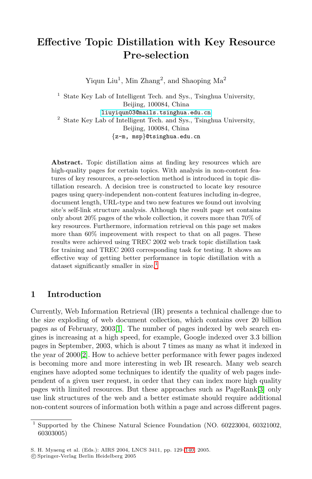# **Effective Topic Distillation with Key Resource Pre-selection**

Yiqun Liu<sup>1</sup>, Min Zhang<sup>2</sup>, and Shaoping  $Ma<sup>2</sup>$ 

<sup>1</sup> State Key Lab of Intelligent Tech. and Sys., Tsinghua University, Beijing, 100084, China [liuyiqun03@mails.tsinghua.edu.cn](mailto:liuyiqun03@mails.tsinghua.edu.cn) <sup>2</sup> State Key Lab of Intelligent Tech. and Sys., Tsinghua University, Beijing, 100084, China {z-m, msp}@tsinghua.edu.cn

**Abstract.** Topic distillation aims at finding key resources which are high-quality pages for certain topics. With analysis in non-content features of key resources, a pre-selection method is introduced in topic distillation research. A decision tree is constructed to locate key resource pages using query-independent non-content features including in-degree, document length, URL-type and two new features we found out involving site's self-link structure analysis. Although the result page set contains only about 20% pages of the whole collection, it covers more than 70% of key resources. Furthermore, information retrieval on this page set makes more than 60% improvement with respect to that on all pages. These results were achieved using TREC 2002 web track topic distillation task for training and TREC 2003 corresponding task for testing. It shows an effective way of getting better performance in topic distillation with a dataset significantly smaller in size.<sup>1</sup>

# **1 Introduction**

Currently, Web Information Retrieval (IR) presents a technical challenge due to the size exploding of web document collection, which contains over 20 billion pages as of February, 2003[\[1\]](#page-10-0). The number of pages indexed by web search engines is increasing at a high speed, for example, Google indexed over 3.3 billion pages in September, 2003, which is about 7 times as many as what it indexed in the year of 2000[\[2\]](#page-10-0). How to achieve better performance with fewer pages indexed is becoming more and more interesting in web IR research. Many web search engines have adopted some techniques to identify the quality of web pages independent of a given user request, in order that they can index more high quality pages with limited resources. But these approaches such as PageRank[\[3\]](#page-10-0) only use link structures of the web and a better estimate should require additional non-content sources of information both within a page and across different pages.

 $\frac{1}{1}$  Supported by the Chinese Natural Science Foundation (NO. 60223004, 60321002, 60303005)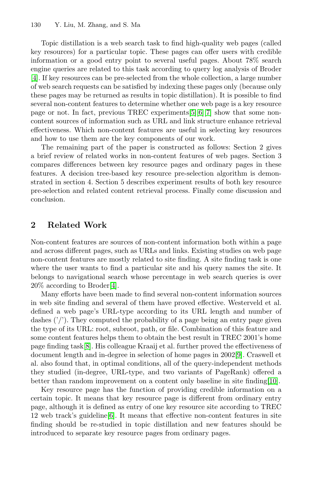Topic distillation is a web search task to find high-quality web pages (called key resources) for a particular topic. These pages can offer users with credible information or a good entry point to several useful pages. About 78% search engine queries are related to this task according to query log analysis of Broder [\[4\]](#page-10-0). If key resources can be pre-selected from the whole collection, a large number of web search requests can be satisfied by indexing these pages only (because only these pages may be returned as results in topic distillation). It is possible to find several non-content features to determine whether one web page is a key resource page or not. In fact, previous TREC experiments[\[5\]\[6\]](#page-10-0)[\[7\]](#page-11-0) show that some noncontent sources of information such as URL and link structure enhance retrieval effectiveness. Which non-content features are useful in selecting key resources and how to use them are the key components of our work.

The remaining part of the paper is constructed as follows: Section 2 gives a brief review of related works in non-content features of web pages. Section 3 compares differences between key resource pages and ordinary pages in these features. A decision tree-based key resource pre-selection algorithm is demonstrated in section 4. Section 5 describes experiment results of both key resource pre-selection and related content retrieval process. Finally come discussion and conclusion.

### **2 Related Work**

Non-content features are sources of non-content information both within a page and across different pages, such as URLs and links. Existing studies on web page non-content features are mostly related to site finding. A site finding task is one where the user wants to find a particular site and his query names the site. It belongs to navigational search whose percentage in web search queries is over 20% according to Broder[\[4\]](#page-10-0).

Many efforts have been made to find several non-content information sources in web site finding and several of them have proved effective. Westerveld et al. defined a web page's URL-type according to its URL length and number of dashes  $('')$ . They computed the probability of a page being an entry page given the type of its URL: root, subroot, path, or file. Combination of this feature and some content features helps them to obtain the best result in TREC 2001's home page finding task[\[8\]](#page-11-0). His colleague Kraaij et al. further proved the effectiveness of document length and in-degree in selection of home pages in 2002[\[9\]](#page-11-0). Craswell et al. also found that, in optimal conditions, all of the query-independent methods they studied (in-degree, URL-type, and two variants of PageRank) offered a better than random improvement on a content only baseline in site finding[\[10\]](#page-11-0).

Key resource page has the function of providing credible information on a certain topic. It means that key resource page is different from ordinary entry page, although it is defined as entry of one key resource site according to TREC 12 web track's guideline[\[6\]](#page-10-0). It means that effective non-content features in site finding should be re-studied in topic distillation and new features should be introduced to separate key resource pages from ordinary pages.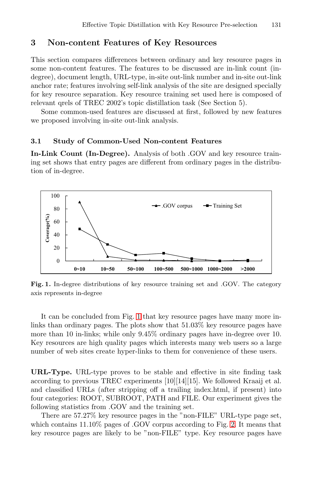## **3 Non-content Features of Key Resources**

This section compares differences between ordinary and key resource pages in some non-content features. The features to be discussed are in-link count (indegree), document length, URL-type, in-site out-link number and in-site out-link anchor rate; features involving self-link analysis of the site are designed specially for key resource separation. Key resource training set used here is composed of relevant qrels of TREC 2002's topic distillation task (See Section 5).

Some common-used features are discussed at first, followed by new features we proposed involving in-site out-link analysis.

#### **3.1 Study of Common-Used Non-content Features**

**In-Link Count (In-Degree).** Analysis of both .GOV and key resource training set shows that entry pages are different from ordinary pages in the distribution of in-degree.



**Fig. 1.** In-degree distributions of key resource training set and .GOV. The category axis represents in-degree

It can be concluded from Fig. 1 that key resource pages have many more inlinks than ordinary pages. The plots show that 51.03% key resource pages have more than 10 in-links; while only 9.45% ordinary pages have in-degree over 10. Key resources are high quality pages which interests many web users so a large number of web sites create hyper-links to them for convenience of these users.

**URL-Type.** URL-type proves to be stable and effective in site finding task according to previous TREC experiments [10][14][15]. We followed Kraaij et al. and classified URLs (after stripping off a trailing index.html, if present) into four categories: ROOT, SUBROOT, PATH and FILE. Our experiment gives the following statistics from .GOV and the training set.

There are 57.27% key resource pages in the "non-FILE" URL-type page set, which contains  $11.10\%$  pages of .GOV corpus according to Fig. [2.](#page-3-0) It means that key resource pages are likely to be "non-FILE" type. Key resource pages have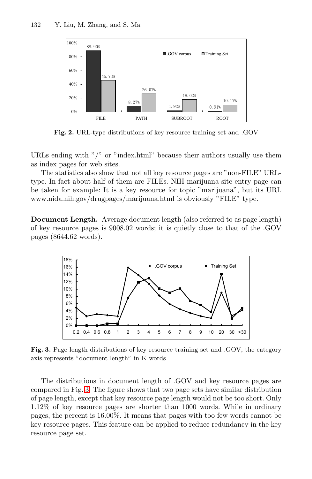<span id="page-3-0"></span>

**Fig. 2.** URL-type distributions of key resource training set and .GOV

URLs ending with "/" or "index.html" because their authors usually use them as index pages for web sites.

The statistics also show that not all key resource pages are "non-FILE" URLtype. In fact about half of them are FILEs. NIH marijuana site entry page can be taken for example: It is a key resource for topic "marijuana", but its URL www.nida.nih.gov/drugpages/marijuana.html is obviously "FILE" type.

**Document Length.** Average document length (also referred to as page length) of key resource pages is 9008.02 words; it is quietly close to that of the .GOV pages (8644.62 words).



**Fig. 3.** Page length distributions of key resource training set and .GOV, the category axis represents "document length" in K words

The distributions in document length of .GOV and key resource pages are compared in Fig. 3. The figure shows that two page sets have similar distribution of page length, except that key resource page length would not be too short. Only 1.12% of key resource pages are shorter than 1000 words. While in ordinary pages, the percent is 16.00%. It means that pages with too few words cannot be key resource pages. This feature can be applied to reduce redundancy in the key resource page set.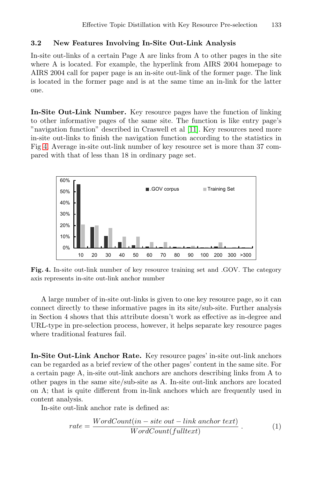### **3.2 New Features Involving In-Site Out-Link Analysis**

In-site out-links of a certain Page A are links from A to other pages in the site where A is located. For example, the hyperlink from AIRS 2004 homepage to AIRS 2004 call for paper page is an in-site out-link of the former page. The link is located in the former page and is at the same time an in-link for the latter one.

**In-Site Out-Link Number.** Key resource pages have the function of linking to other informative pages of the same site. The function is like entry page's "navigation function" described in Craswell et al [\[11\]](#page-11-0). Key resources need more in-site out-links to finish the navigation function according to the statistics in Fig 4. Average in-site out-link number of key resource set is more than 37 compared with that of less than 18 in ordinary page set.



**Fig. 4.** In-site out-link number of key resource training set and .GOV. The category axis represents in-site out-link anchor number

A large number of in-site out-links is given to one key resource page, so it can connect directly to these informative pages in its site/sub-site. Further analysis in Section 4 shows that this attribute doesn't work as effective as in-degree and URL-type in pre-selection process, however, it helps separate key resource pages where traditional features fail.

**In-Site Out-Link Anchor Rate.** Key resource pages' in-site out-link anchors can be regarded as a brief review of the other pages' content in the same site. For a certain page A, in-site out-link anchors are anchors describing links from A to other pages in the same site/sub-site as A. In-site out-link anchors are located on A; that is quite different from in-link anchors which are frequently used in content analysis.

In-site out-link anchor rate is defined as:

$$
rate = \frac{WordCount(in - site out - link\ another\ text)}{WordCount(fulltext)}.
$$
 (1)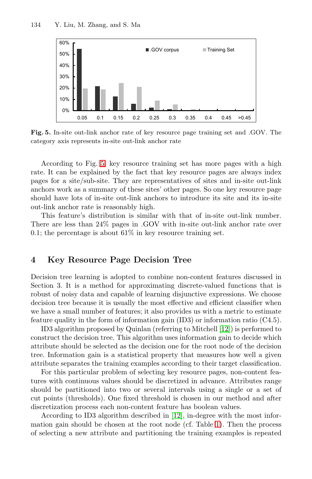

**Fig. 5.** In-site out-link anchor rate of key resource page training set and .GOV. The category axis represents in-site out-link anchor rate

According to Fig. 5, key resource training set has more pages with a high rate. It can be explained by the fact that key resource pages are always index pages for a site/sub-site. They are representatives of sites and in-site out-link anchors work as a summary of these sites' other pages. So one key resource page should have lots of in-site out-link anchors to introduce its site and its in-site out-link anchor rate is reasonably high.

This feature's distribution is similar with that of in-site out-link number. There are less than 24% pages in .GOV with in-site out-link anchor rate over 0.1; the percentage is about  $61\%$  in key resource training set.

### **4 Key Resource Page Decision Tree**

Decision tree learning is adopted to combine non-content features discussed in Section 3. It is a method for approximating discrete-valued functions that is robust of noisy data and capable of learning disjunctive expressions. We choose decision tree because it is usually the most effective and efficient classifier when we have a small number of features; it also provides us with a metric to estimate feature quality in the form of information gain (ID3) or information ratio (C4.5).

ID3 algorithm proposed by Quinlan (referring to Mitchell [\[12\]](#page-11-0)) is performed to construct the decision tree. This algorithm uses information gain to decide which attribute should be selected as the decision one for the root node of the decision tree. Information gain is a statistical property that measures how well a given attribute separates the training examples according to their target classification.

For this particular problem of selecting key resource pages, non-content features with continuous values should be discretized in advance. Attributes range should be partitioned into two or several intervals using a single or a set of cut points (thresholds). One fixed threshold is chosen in our method and after discretization process each non-content feature has boolean values.

According to ID3 algorithm described in [\[12\]](#page-11-0), in-degree with the most information gain should be chosen at the root node (cf. Table [1\)](#page-6-0). Then the process of selecting a new attribute and partitioning the training examples is repeated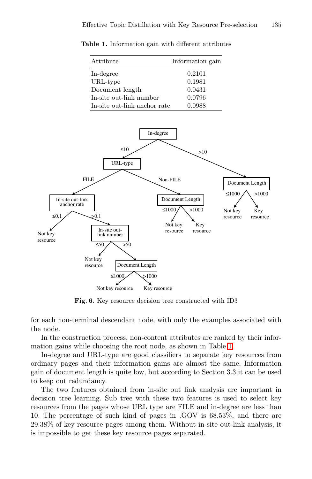| Attribute                    | Information gain |
|------------------------------|------------------|
| In-degree                    | 0.2101           |
| URL-type                     | 0.1981           |
| Document length              | 0.0431           |
| In-site out-link number      | 0.0796           |
| In-site out-link anchor rate | 0.0988           |

<span id="page-6-0"></span>**Table 1.** Information gain with different attributes



**Fig. 6.** Key resource decision tree constructed with ID3

for each non-terminal descendant node, with only the examples associated with the node.

In the construction process, non-content attributes are ranked by their information gains while choosing the root node, as shown in Table 1.

In-degree and URL-type are good classifiers to separate key resources from ordinary pages and their information gains are almost the same. Information gain of document length is quite low, but according to Section 3.3 it can be used to keep out redundancy.

The two features obtained from in-site out link analysis are important in decision tree learning. Sub tree with these two features is used to select key resources from the pages whose URL type are FILE and in-degree are less than 10. The percentage of such kind of pages in .GOV is 68.53%, and there are 29.38% of key resource pages among them. Without in-site out-link analysis, it is impossible to get these key resource pages separated.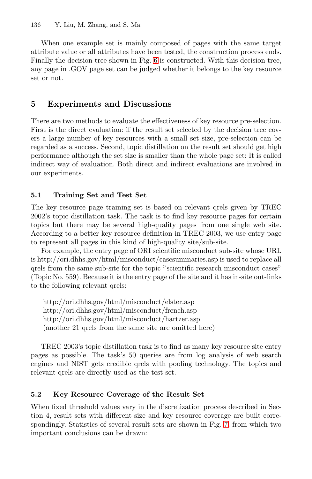When one example set is mainly composed of pages with the same target attribute value or all attributes have been tested, the construction process ends. Finally the decision tree shown in Fig. [6](#page-6-0) is constructed. With this decision tree, any page in .GOV page set can be judged whether it belongs to the key resource set or not.

# **5 Experiments and Discussions**

There are two methods to evaluate the effectiveness of key resource pre-selection. First is the direct evaluation: if the result set selected by the decision tree covers a large number of key resources with a small set size, pre-selection can be regarded as a success. Second, topic distillation on the result set should get high performance although the set size is smaller than the whole page set: It is called indirect way of evaluation. Both direct and indirect evaluations are involved in our experiments.

# **5.1 Training Set and Test Set**

The key resource page training set is based on relevant qrels given by TREC 2002's topic distillation task. The task is to find key resource pages for certain topics but there may be several high-quality pages from one single web site. According to a better key resource definition in TREC 2003, we use entry page to represent all pages in this kind of high-quality site/sub-site.

For example, the entry page of ORI scientific misconduct sub-site whose URL is http://ori.dhhs.gov/html/misconduct/casesummaries.asp is used to replace all qrels from the same sub-site for the topic "scientific research misconduct cases" (Topic No. 559). Because it is the entry page of the site and it has in-site out-links to the following relevant qrels:

http://ori.dhhs.gov/html/misconduct/elster.asp http://ori.dhhs.gov/html/misconduct/french.asp http://ori.dhhs.gov/html/misconduct/hartzer.asp (another 21 qrels from the same site are omitted here)

TREC 2003's topic distillation task is to find as many key resource site entry pages as possible. The task's 50 queries are from log analysis of web search engines and NIST gets credible qrels with pooling technology. The topics and relevant qrels are directly used as the test set.

# **5.2 Key Resource Coverage of the Result Set**

When fixed threshold values vary in the discretization process described in Section 4, result sets with different size and key resource coverage are built correspondingly. Statistics of several result sets are shown in Fig. [7,](#page-8-0) from which two important conclusions can be drawn: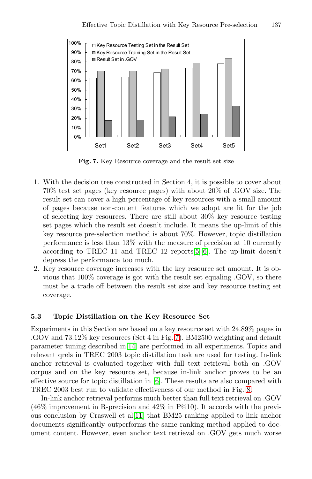<span id="page-8-0"></span>

**Fig. 7.** Key Resource coverage and the result set size

- 1. With the decision tree constructed in Section 4, it is possible to cover about 70% test set pages (key resource pages) with about 20% of .GOV size. The result set can cover a high percentage of key resources with a small amount of pages because non-content features which we adopt are fit for the job of selecting key resources. There are still about 30% key resource testing set pages which the result set doesn't include. It means the up-limit of this key resource pre-selection method is about 70%. However, topic distillation performance is less than 13% with the measure of precision at 10 currently according to TREC 11 and TREC 12 reports[\[5\]\[6\]](#page-10-0). The up-limit doesn't depress the performance too much.
- 2. Key resource coverage increases with the key resource set amount. It is obvious that 100% coverage is got with the result set equaling .GOV, so there must be a trade off between the result set size and key resource testing set coverage.

### **5.3 Topic Distillation on the Key Resource Set**

Experiments in this Section are based on a key resource set with 24.89% pages in .GOV and 73.12% key resources (Set 4 in Fig. 7). BM2500 weighting and default parameter tuning described in[\[14\]](#page-11-0) are performed in all experiments. Topics and relevant qrels in TREC 2003 topic distillation task are used for testing. In-link anchor retrieval is evaluated together with full text retrieval both on .GOV corpus and on the key resource set, because in-link anchor proves to be an effective source for topic distillation in [\[6\]](#page-10-0). These results are also compared with TREC 2003 best run to validate effectiveness of our method in Fig. [8.](#page-9-0)

In-link anchor retrieval performs much better than full text retrieval on .GOV (46% improvement in R-precision and 42% in P@10). It accords with the previous conclusion by Craswell et al[\[11\]](#page-11-0) that BM25 ranking applied to link anchor documents significantly outperforms the same ranking method applied to document content. However, even anchor text retrieval on .GOV gets much worse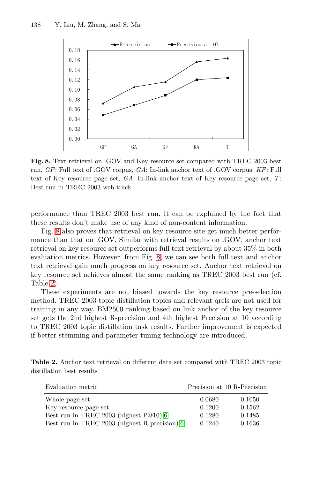<span id="page-9-0"></span>

**Fig. 8.** Text retrieval on .GOV and Key resource set compared with TREC 2003 best run, GF: Full text of .GOV corpus, GA: In-link anchor text of .GOV corpus, KF: Full text of Key resource page set,  $GA$ : In-link anchor text of Key resource page set,  $T$ : Best run in TREC 2003 web track

performance than TREC 2003 best run. It can be explained by the fact that these results don't make use of any kind of non-content information.

Fig. 8 also proves that retrieval on key resource site get much better performance than that on .GOV. Similar with retrieval results on .GOV, anchor text retrieval on key resource set outperforms full text retrieval by about 35% in both evaluation metrics. However, from Fig. 8, we can see both full text and anchor text retrieval gain much progress on key resource set. Anchor text retrieval on key resource set achieves almost the same ranking as TREC 2003 best run (cf. Table 2).

These experiments are not biased towards the key resource pre-selection method. TREC 2003 topic distillation topics and relevant qrels are not used for training in any way. BM2500 ranking based on link anchor of the key resource set gets the 2nd highest R-precision and 4th highest Precision at 10 according to TREC 2003 topic distillation task results. Further improvement is expected if better stemming and parameter tuning technology are introduced.

**Table 2.** Anchor text retrieval on different data set compared with TREC 2003 topic distillation best results

| Evaluation metric                              |        | Precision at 10 R-Precision |
|------------------------------------------------|--------|-----------------------------|
| Whole page set                                 | 0.0680 | 0.1050                      |
| Key resource page set                          | 0.1200 | 0.1562                      |
| Best run in TREC 2003 (highest P@10)[6]        | 0.1280 | 0.1485                      |
| Best run in TREC 2003 (highest R-precision)[6] | 0.1240 | 0.1636                      |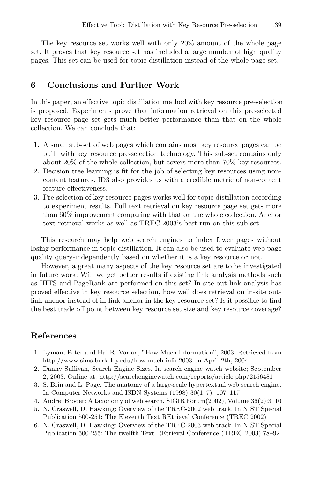<span id="page-10-0"></span>The key resource set works well with only 20% amount of the whole page set. It proves that key resource set has included a large number of high quality pages. This set can be used for topic distillation instead of the whole page set.

### **6 Conclusions and Further Work**

In this paper, an effective topic distillation method with key resource pre-selection is proposed. Experiments prove that information retrieval on this pre-selected key resource page set gets much better performance than that on the whole collection. We can conclude that:

- 1. A small sub-set of web pages which contains most key resource pages can be built with key resource pre-selection technology. This sub-set contains only about 20% of the whole collection, but covers more than 70% key resources.
- 2. Decision tree learning is fit for the job of selecting key resources using noncontent features. ID3 also provides us with a credible metric of non-content feature effectiveness.
- 3. Pre-selection of key resource pages works well for topic distillation according to experiment results. Full text retrieval on key resource page set gets more than 60% improvement comparing with that on the whole collection. Anchor text retrieval works as well as TREC 2003's best run on this sub set.

This research may help web search engines to index fewer pages without losing performance in topic distillation. It can also be used to evaluate web page quality query-independently based on whether it is a key resource or not.

However, a great many aspects of the key resource set are to be investigated in future work: Will we get better results if existing link analysis methods such as HITS and PageRank are performed on this set? In-site out-link analysis has proved effective in key resource selection, how well does retrieval on in-site outlink anchor instead of in-link anchor in the key resource set? Is it possible to find the best trade off point between key resource set size and key resource coverage?

# **References**

- 1. Lyman, Peter and Hal R. Varian, "How Much Information", 2003. Retrieved from http://www.sims.berkeley.edu/how-much-info-2003 on April 2th, 2004
- 2. Danny Sullivan, Search Engine Sizes. In search engine watch website; September 2, 2003. Online at: http://searchenginewatch.com/reports/article.php/2156481
- 3. S. Brin and L. Page. The anatomy of a large-scale hypertextual web search engine. In Computer Networks and ISDN Systems (1998) 30(1–7): 107–117
- 4. Andrei Broder: A taxonomy of web search. SIGIR Forum(2002), Volume 36(2):3–10
- 5. N. Craswell, D. Hawking: Overview of the TREC-2002 web track. In NIST Special Publication 500-251: The Eleventh Text REtrieval Conference (TREC 2002)
- 6. N. Craswell, D. Hawking: Overview of the TREC-2003 web track. In NIST Special Publication 500-255: The twelfth Text REtrieval Conference (TREC 2003):78–92